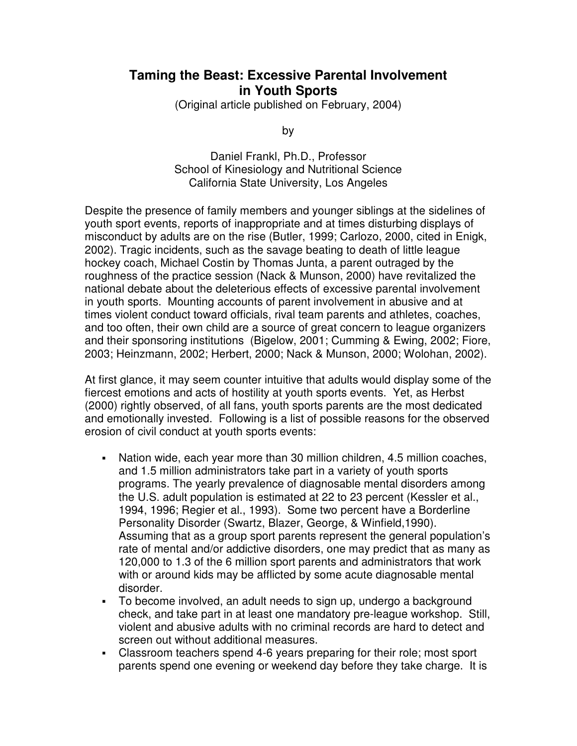## **Taming the Beast: Excessive Parental Involvement in Youth Sports**

(Original article published on February, 2004)

by

Daniel Frankl, Ph.D., Professor School of Kinesiology and Nutritional Science California State University, Los Angeles

Despite the presence of family members and younger siblings at the sidelines of youth sport events, reports of inappropriate and at times disturbing displays of misconduct by adults are on the rise (Butler, 1999; Carlozo, 2000, cited in Enigk, 2002). Tragic incidents, such as the savage beating to death of little league hockey coach, Michael Costin by Thomas Junta, a parent outraged by the roughness of the practice session (Nack & Munson, 2000) have revitalized the national debate about the deleterious effects of excessive parental involvement in youth sports. Mounting accounts of parent involvement in abusive and at times violent conduct toward officials, rival team parents and athletes, coaches, and too often, their own child are a source of great concern to league organizers and their sponsoring institutions (Bigelow, 2001; Cumming & Ewing, 2002; Fiore, 2003; Heinzmann, 2002; Herbert, 2000; Nack & Munson, 2000; Wolohan, 2002).

At first glance, it may seem counter intuitive that adults would display some of the fiercest emotions and acts of hostility at youth sports events. Yet, as Herbst (2000) rightly observed, of all fans, youth sports parents are the most dedicated and emotionally invested. Following is a list of possible reasons for the observed erosion of civil conduct at youth sports events:

- Nation wide, each year more than 30 million children, 4.5 million coaches, and 1.5 million administrators take part in a variety of youth sports programs. The yearly prevalence of diagnosable mental disorders among the U.S. adult population is estimated at 22 to 23 percent (Kessler et al., 1994, 1996; Regier et al., 1993). Some two percent have a Borderline Personality Disorder (Swartz, Blazer, George, & Winfield,1990). Assuming that as a group sport parents represent the general population's rate of mental and/or addictive disorders, one may predict that as many as 120,000 to 1.3 of the 6 million sport parents and administrators that work with or around kids may be afflicted by some acute diagnosable mental disorder.
- To become involved, an adult needs to sign up, undergo a background check, and take part in at least one mandatory pre-league workshop. Still, violent and abusive adults with no criminal records are hard to detect and screen out without additional measures.
- Classroom teachers spend 4-6 years preparing for their role; most sport parents spend one evening or weekend day before they take charge. It is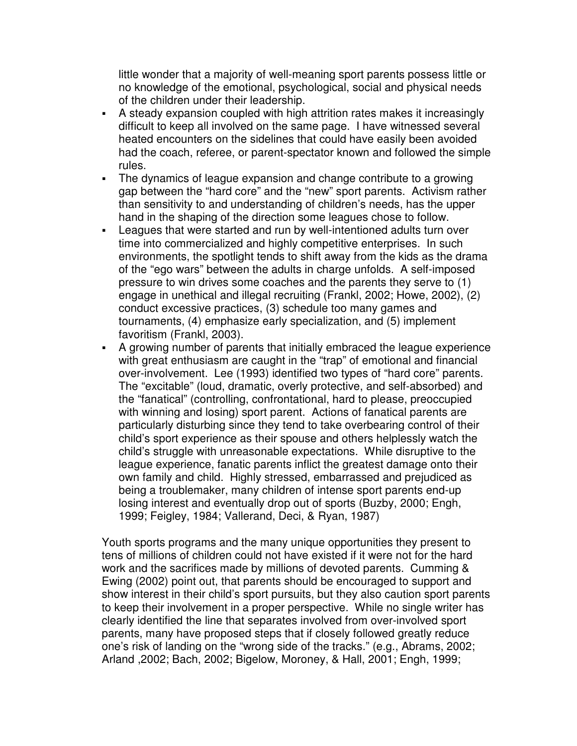little wonder that a majority of well-meaning sport parents possess little or no knowledge of the emotional, psychological, social and physical needs of the children under their leadership.

- A steady expansion coupled with high attrition rates makes it increasingly difficult to keep all involved on the same page. I have witnessed several heated encounters on the sidelines that could have easily been avoided had the coach, referee, or parent-spectator known and followed the simple rules.
- The dynamics of league expansion and change contribute to a growing gap between the "hard core" and the "new" sport parents. Activism rather than sensitivity to and understanding of children's needs, has the upper hand in the shaping of the direction some leagues chose to follow.
- Leagues that were started and run by well-intentioned adults turn over time into commercialized and highly competitive enterprises. In such environments, the spotlight tends to shift away from the kids as the drama of the "ego wars" between the adults in charge unfolds. A self-imposed pressure to win drives some coaches and the parents they serve to (1) engage in unethical and illegal recruiting (Frankl, 2002; Howe, 2002), (2) conduct excessive practices, (3) schedule too many games and tournaments, (4) emphasize early specialization, and (5) implement favoritism (Frankl, 2003).
- A growing number of parents that initially embraced the league experience with great enthusiasm are caught in the "trap" of emotional and financial over-involvement. Lee (1993) identified two types of "hard core" parents. The "excitable" (loud, dramatic, overly protective, and self-absorbed) and the "fanatical" (controlling, confrontational, hard to please, preoccupied with winning and losing) sport parent. Actions of fanatical parents are particularly disturbing since they tend to take overbearing control of their child's sport experience as their spouse and others helplessly watch the child's struggle with unreasonable expectations. While disruptive to the league experience, fanatic parents inflict the greatest damage onto their own family and child. Highly stressed, embarrassed and prejudiced as being a troublemaker, many children of intense sport parents end-up losing interest and eventually drop out of sports (Buzby, 2000; Engh, 1999; Feigley, 1984; Vallerand, Deci, & Ryan, 1987)

Youth sports programs and the many unique opportunities they present to tens of millions of children could not have existed if it were not for the hard work and the sacrifices made by millions of devoted parents. Cumming & Ewing (2002) point out, that parents should be encouraged to support and show interest in their child's sport pursuits, but they also caution sport parents to keep their involvement in a proper perspective. While no single writer has clearly identified the line that separates involved from over-involved sport parents, many have proposed steps that if closely followed greatly reduce one's risk of landing on the "wrong side of the tracks." (e.g., Abrams, 2002; Arland ,2002; Bach, 2002; Bigelow, Moroney, & Hall, 2001; Engh, 1999;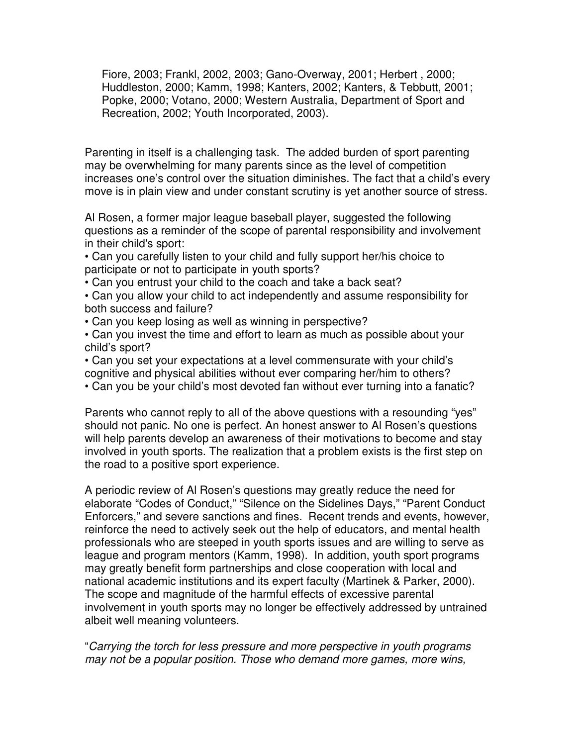Fiore, 2003; Frankl, 2002, 2003; Gano-Overway, 2001; Herbert , 2000; Huddleston, 2000; Kamm, 1998; Kanters, 2002; Kanters, & Tebbutt, 2001; Popke, 2000; Votano, 2000; Western Australia, Department of Sport and Recreation, 2002; Youth Incorporated, 2003).

Parenting in itself is a challenging task. The added burden of sport parenting may be overwhelming for many parents since as the level of competition increases one's control over the situation diminishes. The fact that a child's every move is in plain view and under constant scrutiny is yet another source of stress.

Al Rosen, a former major league baseball player, suggested the following questions as a reminder of the scope of parental responsibility and involvement in their child's sport:

• Can you carefully listen to your child and fully support her/his choice to participate or not to participate in youth sports?

• Can you entrust your child to the coach and take a back seat?

• Can you allow your child to act independently and assume responsibility for both success and failure?

• Can you keep losing as well as winning in perspective?

• Can you invest the time and effort to learn as much as possible about your child's sport?

• Can you set your expectations at a level commensurate with your child's cognitive and physical abilities without ever comparing her/him to others?

• Can you be your child's most devoted fan without ever turning into a fanatic?

Parents who cannot reply to all of the above questions with a resounding "yes" should not panic. No one is perfect. An honest answer to Al Rosen's questions will help parents develop an awareness of their motivations to become and stay involved in youth sports. The realization that a problem exists is the first step on the road to a positive sport experience.

A periodic review of Al Rosen's questions may greatly reduce the need for elaborate "Codes of Conduct," "Silence on the Sidelines Days," "Parent Conduct Enforcers," and severe sanctions and fines. Recent trends and events, however, reinforce the need to actively seek out the help of educators, and mental health professionals who are steeped in youth sports issues and are willing to serve as league and program mentors (Kamm, 1998). In addition, youth sport programs may greatly benefit form partnerships and close cooperation with local and national academic institutions and its expert faculty (Martinek & Parker, 2000). The scope and magnitude of the harmful effects of excessive parental involvement in youth sports may no longer be effectively addressed by untrained albeit well meaning volunteers.

"*Carrying the torch for less pressure and more perspective in youth programs may not be a popular position. Those who demand more games, more wins,*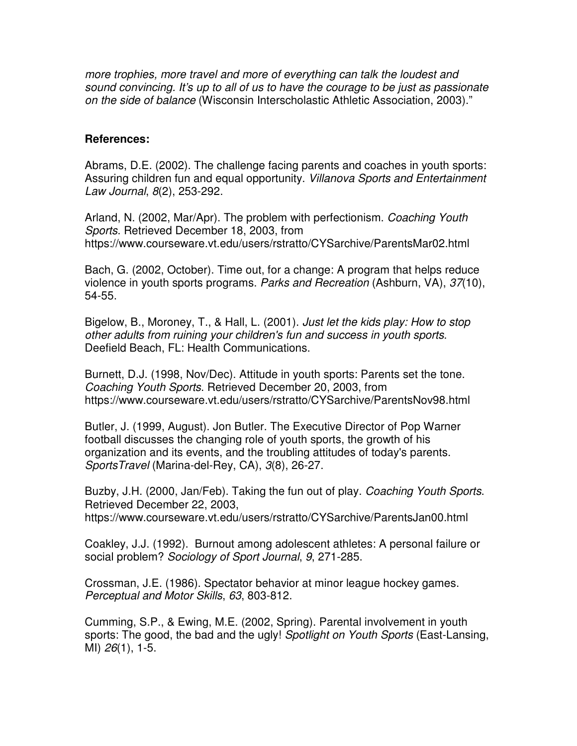*more trophies, more travel and more of everything can talk the loudest and sound convincing. It's up to all of us to have the courage to be just as passionate on the side of balance* (Wisconsin Interscholastic Athletic Association, 2003)."

## **References:**

Abrams, D.E. (2002). The challenge facing parents and coaches in youth sports: Assuring children fun and equal opportunity. *Villanova Sports and Entertainment Law Journal*, *8*(2), 253-292.

Arland, N. (2002, Mar/Apr). The problem with perfectionism. *Coaching Youth Sports*. Retrieved December 18, 2003, from https://www.courseware.vt.edu/users/rstratto/CYSarchive/ParentsMar02.html

Bach, G. (2002, October). Time out, for a change: A program that helps reduce violence in youth sports programs. *Parks and Recreation* (Ashburn, VA), *37*(10), 54-55.

Bigelow, B., Moroney, T., & Hall, L. (2001). *Just let the kids play: How to stop other adults from ruining your children's fun and success in youth sports*. Deefield Beach, FL: Health Communications.

Burnett, D.J. (1998, Nov/Dec). Attitude in youth sports: Parents set the tone. *Coaching Youth Sports*. Retrieved December 20, 2003, from https://www.courseware.vt.edu/users/rstratto/CYSarchive/ParentsNov98.html

Butler, J. (1999, August). Jon Butler. The Executive Director of Pop Warner football discusses the changing role of youth sports, the growth of his organization and its events, and the troubling attitudes of today's parents. *SportsTravel* (Marina-del-Rey, CA), *3*(8), 26-27.

Buzby, J.H. (2000, Jan/Feb). Taking the fun out of play. *Coaching Youth Sports*. Retrieved December 22, 2003, https://www.courseware.vt.edu/users/rstratto/CYSarchive/ParentsJan00.html

Coakley, J.J. (1992). Burnout among adolescent athletes: A personal failure or social problem? *Sociology of Sport Journal*, *9*, 271-285.

Crossman, J.E. (1986). Spectator behavior at minor league hockey games. *Perceptual and Motor Skills*, *63*, 803-812.

Cumming, S.P., & Ewing, M.E. (2002, Spring). Parental involvement in youth sports: The good, the bad and the ugly! *Spotlight on Youth Sports* (East-Lansing, MI) *26*(1), 1-5.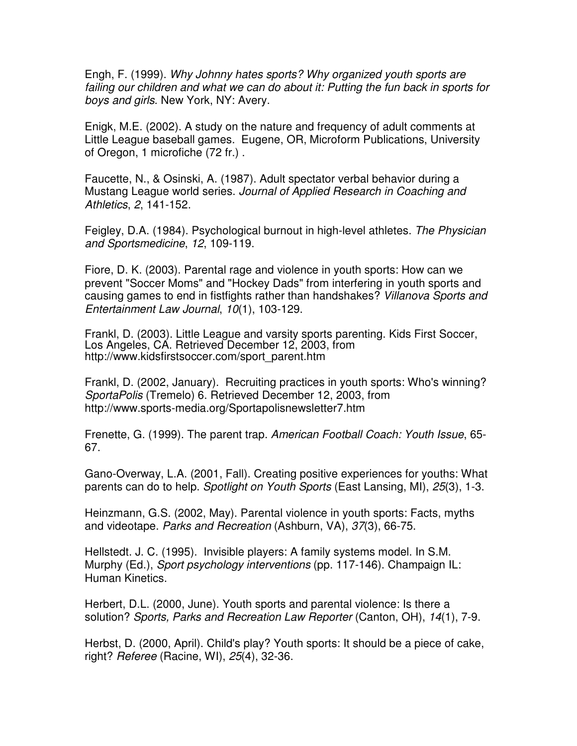Engh, F. (1999). *Why Johnny hates sports? Why organized youth sports are failing our children and what we can do about it: Putting the fun back in sports for boys and girls*. New York, NY: Avery.

Enigk, M.E. (2002). A study on the nature and frequency of adult comments at Little League baseball games. Eugene, OR, Microform Publications, University of Oregon, 1 microfiche (72 fr.) .

Faucette, N., & Osinski, A. (1987). Adult spectator verbal behavior during a Mustang League world series. *Journal of Applied Research in Coaching and Athletics*, *2*, 141-152.

Feigley, D.A. (1984). Psychological burnout in high-level athletes. *The Physician and Sportsmedicine*, *12*, 109-119.

Fiore, D. K. (2003). Parental rage and violence in youth sports: How can we prevent "Soccer Moms" and "Hockey Dads" from interfering in youth sports and causing games to end in fistfights rather than handshakes? *Villanova Sports and Entertainment Law Journal*, *10*(1), 103-129.

Frankl, D. (2003). Little League and varsity sports parenting. Kids First Soccer, Los Angeles, CA. Retrieved December 12, 2003, from http://www.kidsfirstsoccer.com/sport\_parent.htm

Frankl, D. (2002, January). Recruiting practices in youth sports: Who's winning? *SportaPolis* (Tremelo) 6. Retrieved December 12, 2003, from http://www.sports-media.org/Sportapolisnewsletter7.htm

Frenette, G. (1999). The parent trap. *American Football Coach: Youth Issue*, 65- 67.

Gano-Overway, L.A. (2001, Fall). Creating positive experiences for youths: What parents can do to help. *Spotlight on Youth Sports* (East Lansing, MI), *25*(3), 1-3.

Heinzmann, G.S. (2002, May). Parental violence in youth sports: Facts, myths and videotape. *Parks and Recreation* (Ashburn, VA), *37*(3), 66-75.

Hellstedt. J. C. (1995). Invisible players: A family systems model. In S.M. Murphy (Ed.), *Sport psychology interventions* (pp. 117-146). Champaign IL: Human Kinetics.

Herbert, D.L. (2000, June). Youth sports and parental violence: Is there a solution? *Sports, Parks and Recreation Law Reporter* (Canton, OH), *14*(1), 7-9.

Herbst, D. (2000, April). Child's play? Youth sports: It should be a piece of cake, right? *Referee* (Racine, WI), *25*(4), 32-36.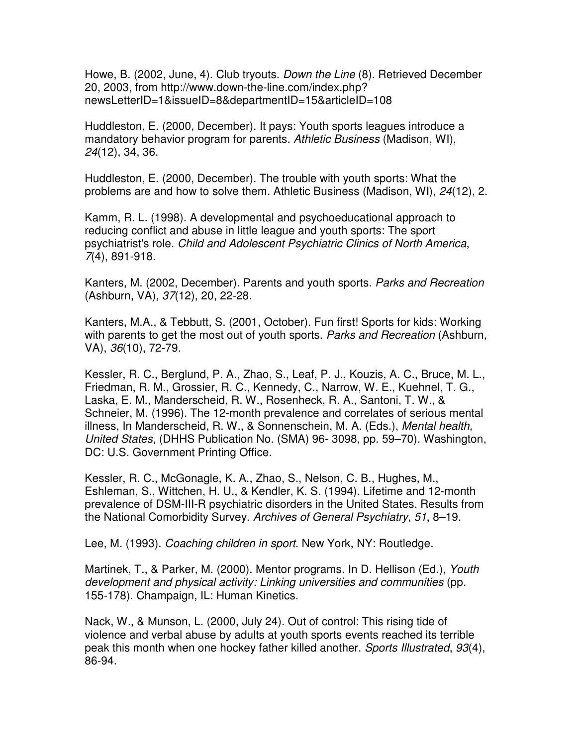Howe, B. (2002, June, 4). Club tryouts. *Down the Line* (8). Retrieved December 20, 2003, from http://www.down-the-line.com/index.php? newsLetterID=1&issueID=8&departmentID=15&articleID=108

Huddleston, E. (2000, December). It pays: Youth sports leagues introduce a mandatory behavior program for parents. *Athletic Business* (Madison, WI), *24*(12), 34, 36.

Huddleston, E. (2000, December). The trouble with youth sports: What the problems are and how to solve them. Athletic Business (Madison, WI), *24*(12), 2.

Kamm, R. L. (1998). A developmental and psychoeducational approach to reducing conflict and abuse in little league and youth sports: The sport psychiatrist's role. *Child and Adolescent Psychiatric Clinics of North America*, *7*(4), 891-918.

Kanters, M. (2002, December). Parents and youth sports. *Parks and Recreation* (Ashburn, VA), *37*(12), 20, 22-28.

Kanters, M.A., & Tebbutt, S. (2001, October). Fun first! Sports for kids: Working with parents to get the most out of youth sports. *Parks and Recreation* (Ashburn, VA), *36*(10), 72-79.

Kessler, R. C., Berglund, P. A., Zhao, S., Leaf, P. J., Kouzis, A. C., Bruce, M. L., Friedman, R. M., Grossier, R. C., Kennedy, C., Narrow, W. E., Kuehnel, T. G., Laska, E. M., Manderscheid, R. W., Rosenheck, R. A., Santoni, T. W., & Schneier, M. (1996). The 12-month prevalence and correlates of serious mental illness, In Manderscheid, R. W., & Sonnenschein, M. A. (Eds.), *Mental health, United States*, (DHHS Publication No. (SMA) 96- 3098, pp. 59–70). Washington, DC: U.S. Government Printing Office.

Kessler, R. C., McGonagle, K. A., Zhao, S., Nelson, C. B., Hughes, M., Eshleman, S., Wittchen, H. U., & Kendler, K. S. (1994). Lifetime and 12-month prevalence of DSM-III-R psychiatric disorders in the United States. Results from the National Comorbidity Survey. *Archives of General Psychiatry*, *51*, 8–19.

Lee, M. (1993). *Coaching children in sport*. New York, NY: Routledge.

Martinek, T., & Parker, M. (2000). Mentor programs. In D. Hellison (Ed.), *Youth development and physical activity: Linking universities and communities* (pp. 155-178). Champaign, IL: Human Kinetics.

Nack, W., & Munson, L. (2000, July 24). Out of control: This rising tide of violence and verbal abuse by adults at youth sports events reached its terrible peak this month when one hockey father killed another. *Sports Illustrated*, *93*(4), 86-94.